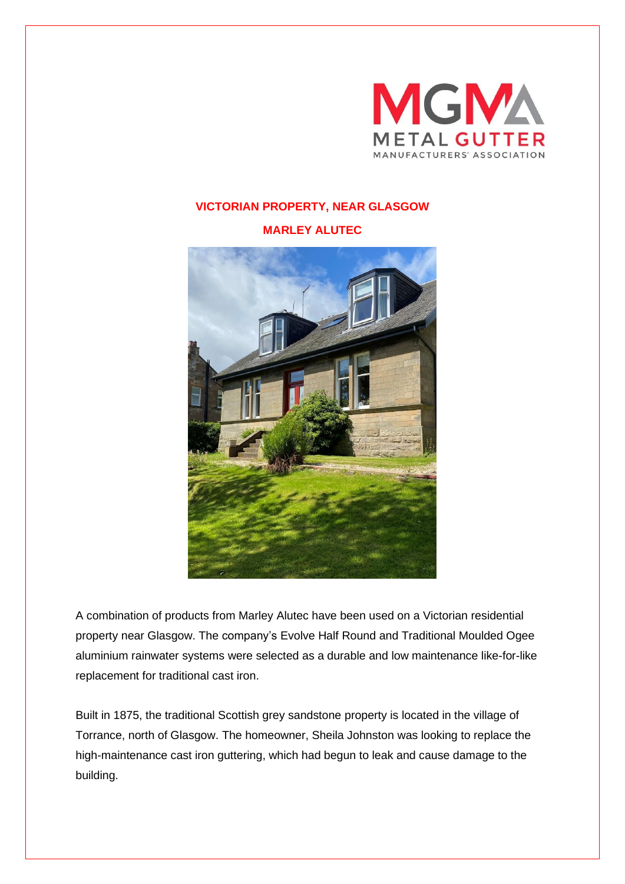

## **VICTORIAN PROPERTY, NEAR GLASGOW**

**MARLEY ALUTEC**



A combination of products from Marley Alutec have been used on a Victorian residential property near Glasgow. The company's Evolve Half Round and Traditional Moulded Ogee aluminium rainwater systems were selected as a durable and low maintenance like-for-like replacement for traditional cast iron.

Built in 1875, the traditional Scottish grey sandstone property is located in the village of Torrance, north of Glasgow. The homeowner, Sheila Johnston was looking to replace the high-maintenance cast iron guttering, which had begun to leak and cause damage to the building.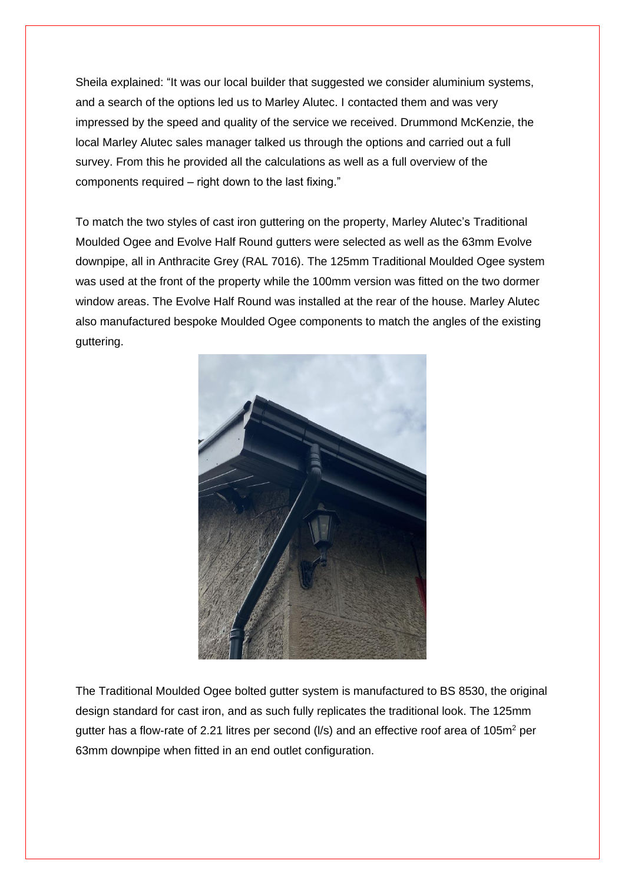Sheila explained: "It was our local builder that suggested we consider aluminium systems, and a search of the options led us to Marley Alutec. I contacted them and was very impressed by the speed and quality of the service we received. Drummond McKenzie, the local Marley Alutec sales manager talked us through the options and carried out a full survey. From this he provided all the calculations as well as a full overview of the components required – right down to the last fixing."

To match the two styles of cast iron guttering on the property, Marley Alutec's Traditional Moulded Ogee and Evolve Half Round gutters were selected as well as the 63mm Evolve downpipe, all in Anthracite Grey (RAL 7016). The 125mm Traditional Moulded Ogee system was used at the front of the property while the 100mm version was fitted on the two dormer window areas. The Evolve Half Round was installed at the rear of the house. Marley Alutec also manufactured bespoke Moulded Ogee components to match the angles of the existing guttering.



The Traditional Moulded Ogee bolted gutter system is manufactured to BS 8530, the original design standard for cast iron, and as such fully replicates the traditional look. The 125mm gutter has a flow-rate of 2.21 litres per second  $(1/s)$  and an effective roof area of 105m<sup>2</sup> per 63mm downpipe when fitted in an end outlet configuration.